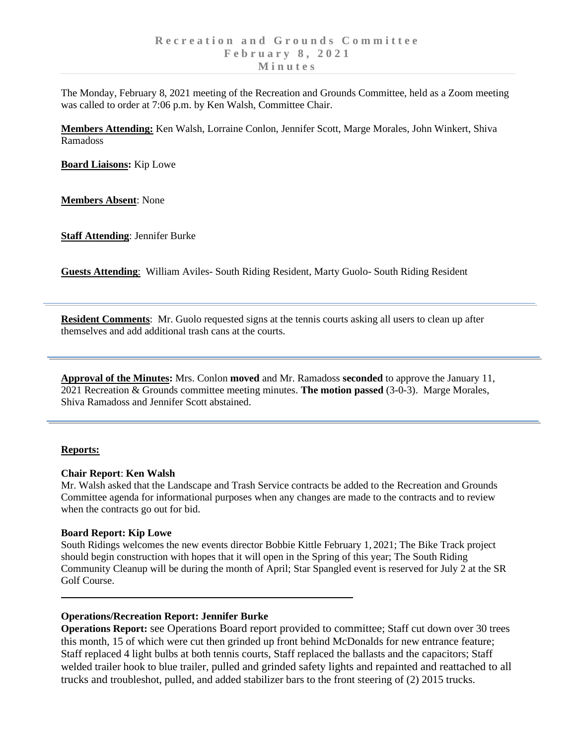The Monday, February 8, 2021 meeting of the Recreation and Grounds Committee, held as a Zoom meeting was called to order at 7:06 p.m. by Ken Walsh, Committee Chair.

**Members Attending:** Ken Walsh, Lorraine Conlon, Jennifer Scott, Marge Morales, John Winkert, Shiva Ramadoss

**Board Liaisons:** Kip Lowe

**Members Absent**: None

**Staff Attending**: Jennifer Burke

**Guests Attending**: William Aviles- South Riding Resident, Marty Guolo- South Riding Resident

**Resident Comments**: Mr. Guolo requested signs at the tennis courts asking all users to clean up after themselves and add additional trash cans at the courts.

**Approval of the Minutes:** Mrs. Conlon **moved** and Mr. Ramadoss **seconded** to approve the January 11, 2021 Recreation & Grounds committee meeting minutes. **The motion passed** (3-0-3). Marge Morales, Shiva Ramadoss and Jennifer Scott abstained.

## **Reports:**

### **Chair Report**: **Ken Walsh**

Mr. Walsh asked that the Landscape and Trash Service contracts be added to the Recreation and Grounds Committee agenda for informational purposes when any changes are made to the contracts and to review when the contracts go out for bid.

### **Board Report: Kip Lowe**

South Ridings welcomes the new events director Bobbie Kittle February 1, 2021; The Bike Track project should begin construction with hopes that it will open in the Spring of this year; The South Riding Community Cleanup will be during the month of April; Star Spangled event is reserved for July 2 at the SR Golf Course.

### **Operations/Recreation Report: Jennifer Burke**

**Operations Report:** see Operations Board report provided to committee; Staff cut down over 30 trees this month, 15 of which were cut then grinded up front behind McDonalds for new entrance feature; Staff replaced 4 light bulbs at both tennis courts, Staff replaced the ballasts and the capacitors; Staff welded trailer hook to blue trailer, pulled and grinded safety lights and repainted and reattached to all trucks and troubleshot, pulled, and added stabilizer bars to the front steering of (2) 2015 trucks.